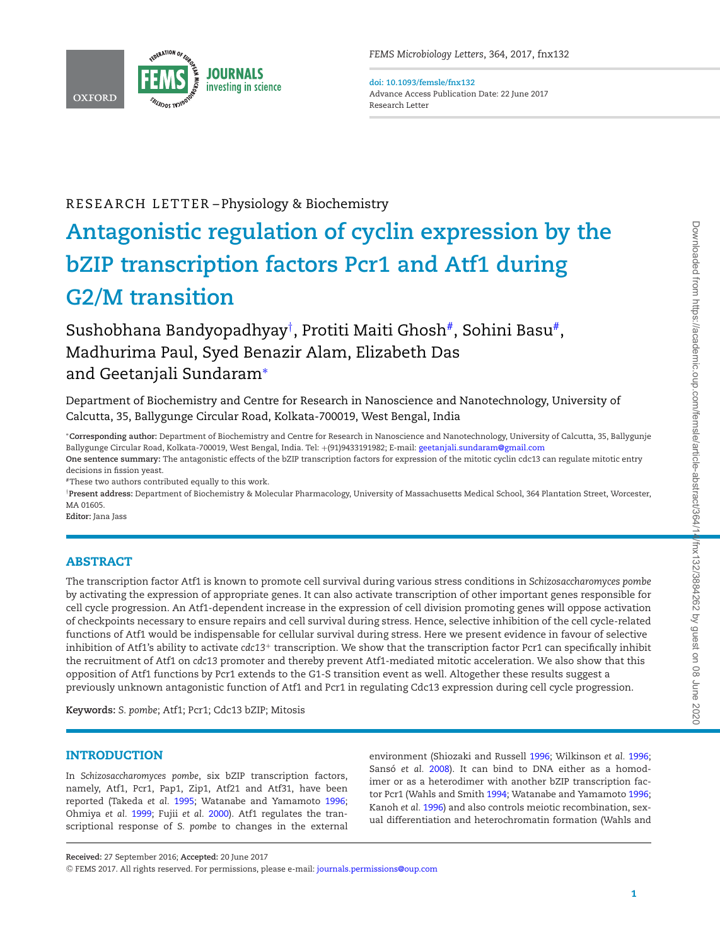

*FEMS Microbiology Letters*, 364, 2017, fnx132

**doi: 10.1093/femsle/fnx132** Advance Access Publication Date: 22 June 2017 Research Letter

### RESEARCH LETTER-Physiology & Biochemistry

# **Antagonistic regulation of cyclin expression by the bZIP transcription factors Pcr1 and Atf1 during G2/M transition**

## Sushobhana Bandyopadhyay[†](#page-0-0), Protiti Maiti Ghosh $^{\#}$ , Sohini Basu $^{\#}$ , Madhurima Paul, Syed Benazir Alam, Elizabeth Das and Geetanjali Sundaram[∗](#page-0-2)

Department of Biochemistry and Centre for Research in Nanoscience and Nanotechnology, University of Calcutta, 35, Ballygunge Circular Road, Kolkata-700019, West Bengal, India

<span id="page-0-2"></span>∗**Corresponding author:** Department of Biochemistry and Centre for Research in Nanoscience and Nanotechnology, University of Calcutta, 35, Ballygunje Ballygunge Circular Road, Kolkata-700019, West Bengal, India. Tel: +(91)9433191982; E-mail: [geetanjali.sundaram@gmail.com](mailto:geetanjali.sundaram@gmail.com) **One sentence summary:** The antagonistic effects of the bZIP transcription factors for expression of the mitotic cyclin cdc13 can regulate mitotic entry

decisions in fission yeast.

<span id="page-0-1"></span>#These two authors contributed equally to this work.

<span id="page-0-0"></span>†**Present address:** Department of Biochemistry & Molecular Pharmacology, University of Massachusetts Medical School, 364 Plantation Street, Worcester, MA 01605

**Editor:** Jana Jass

#### **ABSTRACT**

The transcription factor Atf1 is known to promote cell survival during various stress conditions in *Schizosaccharomyces pombe* by activating the expression of appropriate genes. It can also activate transcription of other important genes responsible for cell cycle progression. An Atf1-dependent increase in the expression of cell division promoting genes will oppose activation of checkpoints necessary to ensure repairs and cell survival during stress. Hence, selective inhibition of the cell cycle-related functions of Atf1 would be indispensable for cellular survival during stress. Here we present evidence in favour of selective inhibition of Atf1's ability to activate *cdc13*<sup>+</sup> transcription. We show that the transcription factor Pcr1 can specifically inhibit the recruitment of Atf1 on *cdc13* promoter and thereby prevent Atf1-mediated mitotic acceleration. We also show that this opposition of Atf1 functions by Pcr1 extends to the G1-S transition event as well. Altogether these results suggest a previously unknown antagonistic function of Atf1 and Pcr1 in regulating Cdc13 expression during cell cycle progression.

**Keywords:** *S. pombe*; Atf1; Pcr1; Cdc13 bZIP; Mitosis

#### **INTRODUCTION**

In *Schizosaccharomyces pombe*, six bZIP transcription factors, namely, Atf1, Pcr1, Pap1, Zip1, Atf21 and Atf31, have been reported (Takeda *et al.* [1995;](#page-5-0) Watanabe and Yamamoto [1996;](#page-5-1) Ohmiya *et al.* [1999;](#page-5-2) Fujii *et al.* [2000\)](#page-5-3). Atf1 regulates the transcriptional response of *S. pombe* to changes in the external environment (Shiozaki and Russell [1996;](#page-5-4) Wilkinson *et al.* [1996;](#page-5-5) Sansó et al. [2008\)](#page-5-6). It can bind to DNA either as a homodimer or as a heterodimer with another bZIP transcription facto[r](#page-1-0) Pcr1 (Wahls and Smith [1994;](#page-5-7) Watanabe and Yamamoto [1996;](#page-5-1) Kanoh *et al.* [1996\)](#page-5-8) and also controls meiotic recombination, sexual differentiation and heterochromatin formation (Wahls and

**Received:** 27 September 2016; **Accepted:** 20 June 2017

<sup>C</sup> FEMS 2017. All rights reserved. For permissions, please e-mail: [journals.permissions@oup.com](mailto:journals.permissions@oup.com)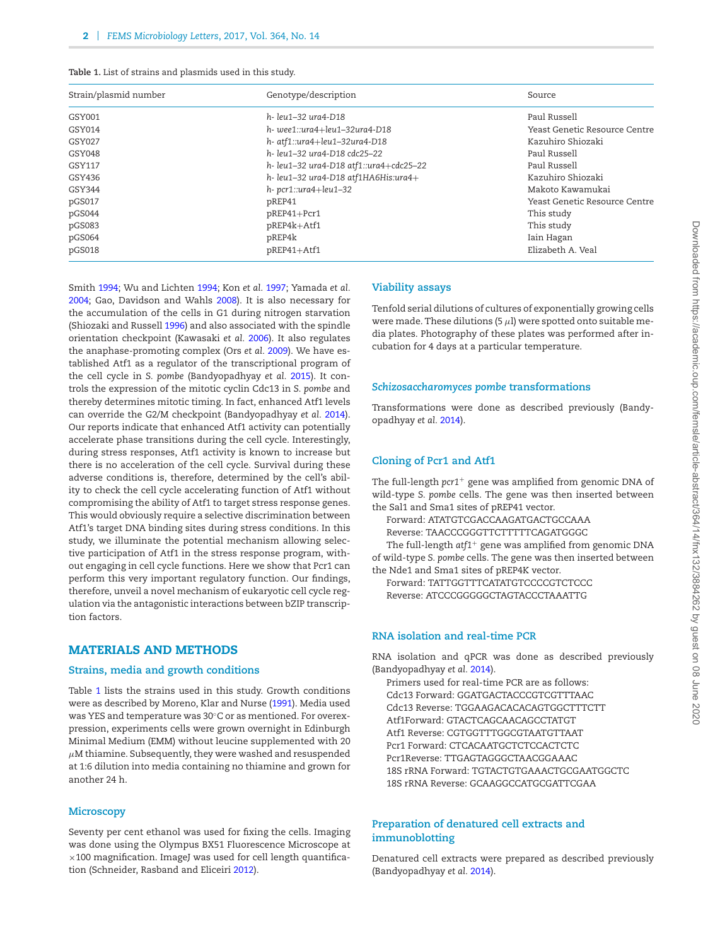<span id="page-1-0"></span>

| Table 1. List of strains and plasmids used in this study. |  |  |  |
|-----------------------------------------------------------|--|--|--|
|-----------------------------------------------------------|--|--|--|

| Strain/plasmid number | Genotype/description                    | Source                        |
|-----------------------|-----------------------------------------|-------------------------------|
| GSY001                | h- leu1-32 ura4-D18                     | Paul Russell                  |
| GSY014                | h-wee1::ura4+leu1-32ura4-D18            | Yeast Genetic Resource Centre |
| GSY027                | h- atf1::ura4+leu1-32ura4-D18           | Kazuhiro Shiozaki             |
| GSY048                | h-leu1-32 ura4-D18 cdc25-22             | Paul Russell                  |
| GSY117                | h- leu1-32 ura4-D18 atf1::ura4+cdc25-22 | Paul Russell                  |
| GSY436                | h- leu1-32 ura4-D18 atf1HA6His:ura4+    | Kazuhiro Shiozaki             |
| GSY344                | $h$ - pcr1::ura4+leu1-32                | Makoto Kawamukai              |
| pGS017                | pREP41                                  | Yeast Genetic Resource Centre |
| pGS044                | pREP41+Pcr1                             | This study                    |
| pGS083                | pREP4k+Atf1                             | This study                    |
| pGS064                | pREP4k                                  | Iain Hagan                    |
| pGS018                | pREP41+Atf1                             | Elizabeth A. Veal             |

Smith [1994;](#page-5-7) Wu and Lichten [1994;](#page-5-9) Kon *et al.* [1997;](#page-5-10) Yamada *et al.* [2004;](#page-5-11) Gao, Davidson and Wahls [2008\)](#page-5-12). It is also necessary for the accumulation of the cells in G1 during nitrogen starvation (Shiozaki and Russell [1996\)](#page-5-4) and also associated with the spindle orientation checkpoint (Kawasaki *et al.* [2006\)](#page-5-13). It also regulates the anaphase-promoting complex (Ors *et al.* [2009\)](#page-5-14). We have established Atf1 as a regulator of the transcriptional program of the cell cycle in *S. pombe* (Bandyopadhyay *et al.* [2015\)](#page-5-15). It controls the expression of the mitotic cyclin Cdc13 in *S. pombe* and thereby determines mitotic timing. In fact, enhanced Atf1 levels can override the G2/M checkpoint (Bandyopadhyay *et al.* [2014\)](#page-5-16). Our reports indicate that enhanced Atf1 activity can potentially accelerate phase transitions during the cell cycle. Interestingly, during stress responses, Atf1 activity is known to increase but there is no acceleration of the cell cycle. Survival during these adverse conditions is, therefore, determined by the cell's ability to check the cell cycle accelerating function of Atf1 without compromising the ability of Atf1 to target stress response genes. This would obviously require a selective discrimination between Atf1's target DNA binding sites during stress conditions. In this study, we illuminate the potential mechanism allowing selective participation of Atf1 in the stress response program, without engaging in cell cycle functions. Here we show that Pcr1 can perform this very important regulatory function. Our findings, therefore, unveil a novel mechanism of eukaryotic cell cycle regulation via the antagonistic interactions between bZIP transcription factors.

#### **MATERIALS AND METHODS**

#### **Strains, media and growth conditions**

Table [1](#page-1-0) lists the strains used in this study. Growth conditions were as described by Moreno, Klar and Nurse [\(1991\)](#page-5-17). Media used was YES and temperature was 30◦C or as mentioned. For overexpression, experiments cells were grown overnight in Edinburgh Minimal Medium (EMM) without leucine supplemented with 20  $\mu$ M thiamine. Subsequently, they were washed and resuspended at 1:6 dilution into media containing no thiamine and grown for another 24 h.

#### **Microscopy**

Seventy per cent ethanol was used for fixing the cells. Imaging was done using the Olympus BX51 Fluorescence Microscope at  $\times$ 100 magnification. ImageJ was used for cell length quantification (Schneider, Rasband and Eliceiri [2012\)](#page-5-18).

#### **Viability assays**

Tenfold serial dilutions of cultures of exponentially growing cells were made. These dilutions (5  $\mu$ l) were spotted onto suitable media plates. Photography of these plates was performed after incubation for 4 days at a particular temperature.

#### *Schizosaccharomyces pombe* **transformations**

Transformations were done as described previously (Bandyopadhyay *et al.* [2014\)](#page-5-16).

#### **Cloning of Pcr1 and Atf1**

The full-length *pcr1*<sup>+</sup> gene was amplified from genomic DNA of wild-type *S. pombe* cells. The gene was then inserted between the Sal1 and Sma1 sites of pREP41 vector.

Forward: ATATGTCGACCAAGATGACTGCCAAA

Reverse: TAACCCGGGTTCTTTTTCAGATGGGC

The full-length *atf1*<sup>+</sup> gene was amplified from genomic DNA of wild-type *S. pombe* cells. The gene was then inserted between the Nde1 and Sma1 sites of pREP4K vector.

Forward: TATTGGTTTCATATGTCCCCGTCTCCC Reverse: ATCCCGGGGGCTAGTACCCTAAATTG

#### **RNA isolation and real-time PCR**

RNA isolation and qPCR was done as described previously (Bandyopadhyay *et al.* [2014\)](#page-5-16).

Primers used for real-time PCR are as follows: Cdc13 Forward: GGATGACTACCCGTCGTTTAAC Cdc13 Reverse: TGGAAGACACACAGTGGCTTTCTT Atf1Forward: GTACTCAGCAACAGCCTATGT Atf1 Reverse: CGTGGTTTGGCGTAATGTTAAT Pcr1 Forward: CTCACAATGCTCTCCACTCTC Pcr1Reverse: TTGAGTAGGGCTAACGGAAAC 18S rRNA Forward: TGTACTGTGAAACTGCGAATGGCTC 18S rRNA Reverse: GCAAGGCCATGCGATTCGAA

#### **Preparation of denatured cell extracts and immunoblotting**

Denatured cel[l](#page-2-0) extracts were prepared as described previously (Bandyopadhyay *et al.* [2014\)](#page-5-16).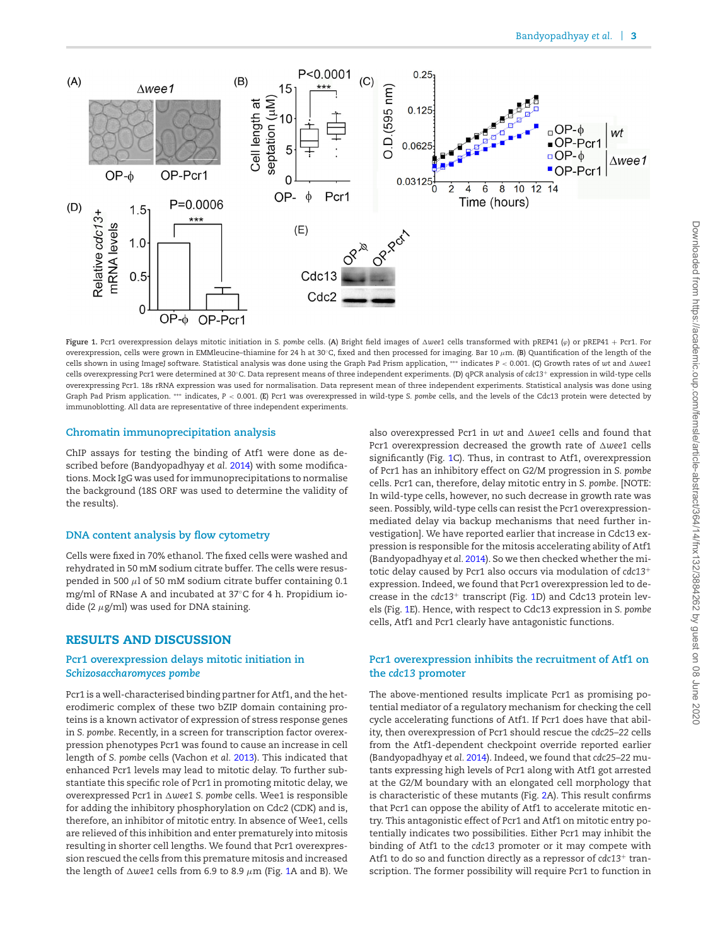<span id="page-2-0"></span>

**Figure 1.** Pcr1 overexpression delays mitotic initiation in S. pombe cells. (**A**) Bright field images of ∆wee1 cells transformed with pREP41 (φ) or pREP41 + Pcr1. For overexpression, cells were grown in EMMleucine–thiamine for 24 h at 30◦C, fixed and then processed for imaging. Bar 10 μm. (**B**) Quantification of the length of the cells shown in using ImageJ software. Statistical analysis was done using the Graph Pad Prism application, ∗∗∗ indicates *P* < 0.001. (**C**) Growth rates of *wt* and -*wee1* cells overexpressing Pcr1 were determined at 30◦C. Data represent means of three independent experiments. (**D**) qPCR analysis of *cdc13*<sup>+</sup> expression in wild-type cells overexpressing Pcr1. 18s rRNA expression was used for normalisation. Data represent mean of three independent experiments. Statistical analysis was done using Graph Pad Prism application. ∗∗∗ indicates, *P* < 0.001. (**E**) Pcr1 was overexpressed in wild-type *S. pombe* cells, and the levels of the Cdc13 protein were detected by immunoblotting. All data are representative of three independent experiments.

#### **Chromatin immunoprecipitation analysis**

ChIP assays for testing the binding of Atf1 were done as described before (Bandyopadhyay *et al.* [2014\)](#page-5-16) with some modifications. Mock IgG was used for immunoprecipitations to normalise the background (18S ORF was used to determine the validity of the results).

#### **DNA content analysis by flow cytometry**

Cells were fixed in 70% ethanol. The fixed cells were washed and rehydrated in 50 mM sodium citrate buffer. The cells were resuspended in 500  $\mu$ l of 50 mM sodium citrate buffer containing 0.1 mg/ml of RNase A and incubated at 37◦C for 4 h. Propidium iodide (2  $\mu$ g/ml) was used for DNA staining.

#### **RESULTS AND DISCUSSION**

#### **Pcr1 overexpression delays mitotic initiation in** *Schizosaccharomyces pombe*

Pcr1 is a well-characterised binding partner for Atf1, and the heterodimeric complex of these two bZIP domain containing proteins is a known activator of expression of stress response genes in *S. pombe*. Recently, in a screen for transcription factor overexpression phenotypes Pcr1 was found to cause an increase in cell length of *S. pombe* cells (Vachon *et al.* [2013\)](#page-5-19). This indicated that enhanced Pcr1 levels may lead to mitotic delay. To further substantiate this specific role of Pcr1 in promoting mitotic delay, we overexpressed Pcr1 in -*wee1 S. pombe* cells. Wee1 is responsible for adding the inhibitory phosphorylation on Cdc2 (CDK) and is, therefore, an inhibitor of mitotic entry. In absence of Wee1, cells are relieved of this inhibition and enter prematurely into mitosis resulting in shorter cell lengths. We found that Pcr1 overexpression rescued the cells from this premature mitosis and increased the length of  $\Delta$ wee1 cells from 6.9 to 8.9  $\mu$ m (Fig. [1A](#page-2-0) and B). We

also overexpressed Pcr1 in  $wt$  and  $\Delta$ wee1 cells and found that Pcr1 overexpression decreased the growth rate of  $\Delta$ wee1 cells significantly (Fig. [1C](#page-2-0)). Thus, in contrast to Atf1, overexpression of Pcr1 has an inhibitory effect on G2/M progression in *S. pombe* cells. Pcr1 can, therefore, delay mitotic entry in *S. pombe*. [NOTE: In wild-type cells, however, no such decrease in growth rate was seen. Possibly, wild-type cells can resist the Pcr1 overexpressionmediated delay via backup mechanisms that need further investigation]. We have reported earlier that increase in Cdc13 expression is responsible for the mitosis accelerating ability of Atf1 (Bandyopadhyay *et al.* [2014\)](#page-5-16). So we then checked whether the mitotic delay caused by Pcr1 also occurs via modulation of *cdc13*<sup>+</sup> expression. Indeed, we found that Pcr1 overexpression led to decrease in the *cdc13*<sup>+</sup> transcript (Fig. [1D](#page-2-0)) and Cdc13 protein levels (Fig. [1E](#page-2-0)). Hence, with respect to Cdc13 expression in *S. pombe* cells, Atf1 and Pcr1 clearly have antagonistic functions.

#### **Pcr1 overexpression inhibits the recruitment of Atf1 on the** *cdc13* **promoter**

The above-mentioned results implicate Pcr1 as promising potential mediator of a regulatory mechanism for checking the cell cycle accelerating functions of Atf1. If Pcr1 does have that ability, then overexpression of Pcr1 should rescue the *cdc25–22* cells from the Atf1-dependent checkpoint override reported earlier (Bandyopadhyay *et al.* [2014\)](#page-5-16). Indeed, we found that *cdc25–22* mutants expressing high levels of Pcr1 along with Atf1 got arrested at the G2/M boundary with an elongated cell morphology that is characteristic of these mutants (Fig. [2A](#page-3-0)). This result confirms that Pcr1 can oppose the ability of Atf1 to accelerate mitotic entry. This antagonistic effect of Pcr1 and Atf1 on mitotic entry potentially indicates two possibilities. Either Pcr1 may inhibit the binding of Atf1 to the *cdc13* promoter or it may compete with Atf1 to do so and function directly as a repressor of *cdc13*<sup>+</sup> transcription. The former possibility will require Pcr1 to function in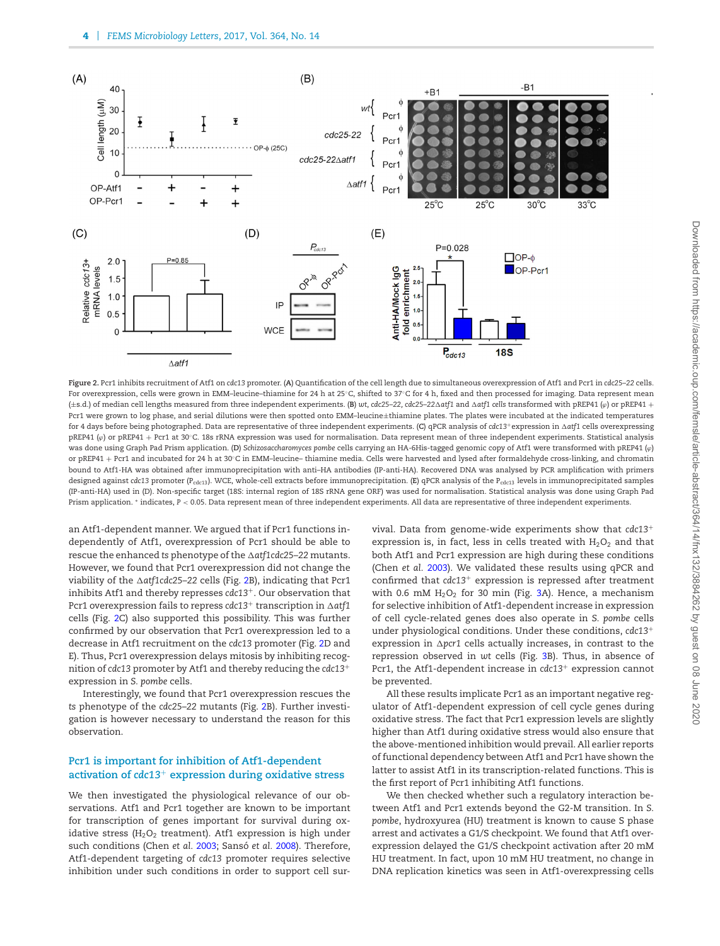<span id="page-3-0"></span>

**Figure 2.** Pcr1 inhibits recruitment of Atf1 on *cdc13* promoter. (**A**) Quantification of the cell length due to simultaneous overexpression of Atf1 and Pcr1 in *cdc25–22* cells*.* For overexpression, cells were grown in EMM-leucine-thiamine for 24 h at 25℃, shifted to 37℃ for 4 h, fixed and then processed for imaging. Data represent mean (±s.d.) of median cell lengths measured from three independent experiments. (**B**) *wt*, *cdc25–22, cdc25–22*-*atf1* and -*atf1 cells* transformed with pREP41 (ϕ) or pREP41 + Pcr1 were grown to log phase, and serial dilutions were then spotted onto EMM–leucine±thiamine plates. The plates were incubated at the indicated temperatures for 4 days before being photographed. Data are representative of three independent experiments. (**C**) qPCR analysis of *cdc13*+expression in -*atf1* cells overexpressing pREP41 ( $\varphi$ ) or pREP41 + Pcr1 at 30°C. 18s rRNA expression was used for normalisation. Data represent mean of three independent experiments. Statistical analysis was done using Graph Pad Prism application. (D) Schizosaccharomyces pombe cells carrying an HA-6His-tagged genomic copy of Atf1 were transformed with pREP41 ( $\varphi$ ) or pREP41 + Pcr1 and incubated for 24 h at 30◦C in EMM–leucine– thiamine media. Cells were harvested and lysed after formaldehyde cross-linking, and chromatin bound to Atf1-HA was obtained after immunoprecipitation with anti–HA antibodies (IP-anti-HA). Recovered DNA was analysed by PCR amplification with primers designed against *cdc13* promoter (P<sub>cdc13</sub>). WCE, whole-cell extracts before immunoprecipitation. (**E**) qPCR analysis of the P<sub>cdc13</sub> levels in immunoprecipitated samples (IP-anti-HA) used in (D). Non-specific target (18S: internal region of 18S rRNA gene ORF) was used for normalisation. Statistical analysis was done using Graph Pad Prism application. \* indicates, *P* < 0.05. Data represent mean of three independent experiments. All data are representative of three independent experiments.

an Atf1-dependent manner. We argued that if Pcr1 functions independently of Atf1, overexpression of Pcr1 should be able to rescue the enhanced *ts* phenotype of the -*atf1cdc25–22* mutants. However, we found that Pcr1 overexpression did not change the viability of the -*atf1cdc25–22* cells (Fig. [2B](#page-3-0)), indicating that Pcr1 inhibits Atf1 and thereby represses *cdc13*+. Our observation that Pcr1 overexpression fails to repress *cdc13*<sup>+</sup> transcription in -*atf1* cells (Fig. [2C](#page-3-0)) also supported this possibility. This was further confirmed by our observation that Pcr1 overexpression led to a decrease in Atf1 recruitment on the *cdc13* promoter (Fig. [2D](#page-3-0) and E). Thus, Pcr1 overexpression delays mitosis by inhibiting recognition of *cdc13* promoter by Atf1 and thereby reducing the *cdc13*<sup>+</sup> expression in *S. pombe* cells.

Interestingly, we found that Pcr1 overexpression rescues the *ts* phenotype of the *cdc25–22* mutants (Fig. [2B](#page-3-0)). Further investigation is however necessary to understand the reason for this observation.

#### **Pcr1 is important for inhibition of Atf1-dependent activation of** *cdc13*<sup>+</sup> **expression during oxidative stress**

We then investigated the physiological relevance of our observations. Atf1 and Pcr1 together are known to be important for transcription of genes important for survival during oxidative stress ( $H_2O_2$  treatment). Atf1 expression is high under such conditions (Chen *et al.* [2003;](#page-5-20) Sansó *et al.* [2008\)](#page-5-6). Therefore, Atf1-dependent targeting of *cdc13* promoter requires selective inhibition under such conditions in order to support cell survival. Data from genome-wide experiments show that *cdc13*<sup>+</sup> expression is, in fact, less in cells treated with  $H_2O_2$  and that both Atf1 and Pcr1 expression are high during these conditions (Chen *et al.* [2003\)](#page-5-20). We validated these results using qPCR and confirmed that *cdc13*<sup>+</sup> expression is repressed after treatment with 0.6 mM  $H_2O_2$  for 30 min (Fig. [3A](#page-4-0)). Hence, a mechanism for selective inhibition of Atf1-dependent increase in expression of cell cycle-related genes does also operate in *S. pombe* cells under physiological conditions. Under these conditions, *cdc13*<sup>+</sup> expression in Apcr1 cells actually increases, in contrast to the repression observed in *wt* cells (Fig. [3B](#page-4-0)). Thus, in absence of Pcr1, the Atf1-dependent increase in *cdc13*<sup>+</sup> expression cannot be prevented.

All these results implicate Pcr1 as an important negative regulator of Atf1-dependent expression of cell cycle genes during oxidative stress. The fact that Pcr1 expression levels are slightly higher than Atf1 during oxidative stress would also ensure that the above-mentioned inhibition would prevail. All earlier reports of functional dependency between Atf1 and Pcr1 have shown the latter to assist Atf1 in its transcription-related functions. This is the first report of Pcr1 inhibiting Atf1 functions.

We then checked whether such a regulatory interaction between Atf1 and Pcr1 extends beyond the G2-M transition. In *S. pombe*, hydroxyurea (HU) treatment is known to cause S phase arrest and activates a G1/S checkpoint. We found that Atf1 overexpression delayed the G1/S checkpoint activation after 20 mM HU treatment. In fact, upon 10 mM HU treatment, no change in DNA replication kinetics was seen in Atf1-overexpressing cells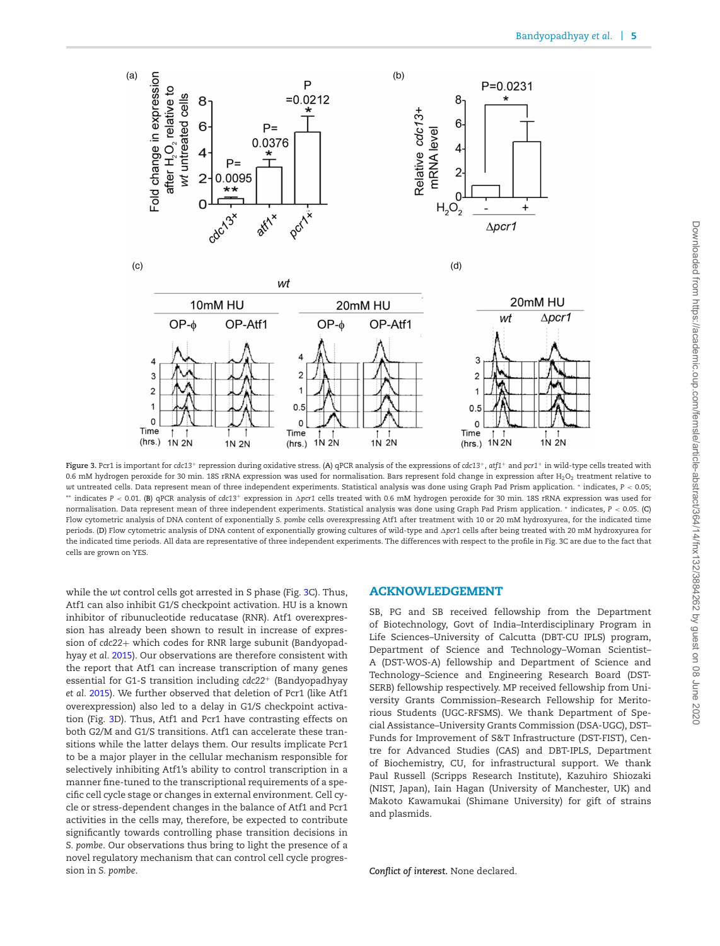<span id="page-4-0"></span>

**Figure 3.** Pcr1 is important for *cdc13*<sup>+</sup> repression during oxidative stress. (**A**) qPCR analysis of the expressions of *cdc13*+, *atf1*<sup>+</sup> and *pcr1*<sup>+</sup> in wild-type cells treated with 0.6 mM hydrogen peroxide for 30 min. 18S rRNA expression was used for normalisation. Bars represent fold change in expression after H<sub>2</sub>O<sub>2</sub> treatment relative to *wt* untreated cells. Data represent mean of three independent experiments. Statistical analysis was done using Graph Pad Prism application. <sup>∗</sup> indicates, *P* < 0.05; \*\* indicates *P <* 0.01. **(B)** qPCR analysis of *cdc13*+ expression in ∆pcr1 cells treated with 0.6 mM hydrogen peroxide for 30 min. 18S rRNA expression was used for normalisation. Data represent mean of three independent experiments. Statistical analysis was done using Graph Pad Prism application. <sup>∗</sup> indicates, *P* < 0.05. (**C**) Flow cytometric analysis of DNA content of exponentially *S. pombe* cells overexpressing Atf1 after treatment with 10 or 20 mM hydroxyurea, for the indicated time periods. (**D**) Flow cytometric analysis of DNA content of exponentially growing cultures of wild-type and -*pcr1* cells after being treated with 20 mM hydroxyurea for the indicated time periods. All data are representative of three independent experiments. The differences with respect to the profile in Fig. 3C are due to the fact that cells are grown on YES.

while the *wt* control cells got arrested in S phase (Fig. [3C](#page-4-0)). Thus, Atf1 can also inhibit G1/S checkpoint activation. HU is a known inhibitor of ribunucleotide reducatase (RNR). Atf1 overexpression has already been shown to result in increase of expression of *cdc22*+ which codes for RNR large subunit (Bandyopadhyay *et al.* [2015\)](#page-5-15). Our observations are therefore consistent with the report that Atf1 can increase transcription of many genes essential for G1-S transition including *cdc22*<sup>+</sup> (Bandyopadhyay *et al.* [2015\)](#page-5-15). We further observed that deletion of Pcr1 (like Atf1 overexpression) also led to a delay in G1/S checkpoint activation (Fig. [3D](#page-4-0)). Thus, Atf1 and Pcr1 have contrasting effects on both G2/M and G1/S transitions. Atf1 can accelerate these transitions while the latter delays them. Our results implicate Pcr1 to be a major player in the cellular mechanism responsible for selectively inhibiting Atf1's ability to control transcription in a manner fine-tuned to the transcriptional requirements of a specific cell cycle stage or changes in external environment. Cell cycle or stress-dependent changes in the balance of Atf1 and Pcr1 activities in the cells may, therefore, be expected to contribute significantly towards controlling phase transition decisions in *S. pombe*. Our observations thus bring to light the presence of a novel regulatory mechanism that can control cell cycle progression in *S. pombe*.

#### **ACKNOWLEDGEMENT**

SB, PG and SB received fellowship from the Department of Biotechnology, Govt of India–Interdisciplinary Program in Life Sciences–University of Calcutta (DBT-CU IPLS) program, Department of Science and Technology–Woman Scientist– A (DST-WOS-A) fellowship and Department of Science and Technology–Science and Engineering Research Board (DST-SERB) fellowship respectively. MP received fellowship from University Grants Commission–Research Fellowship for Meritorious Students (UGC-RFSMS). We thank Department of Special Assistance–University Grants Commission (DSA-UGC), DST– Funds for Improvement of S&T Infrastructure (DST-FIST), Centre for Advanced Studies (CAS) and DBT-IPLS, Department of Biochemistry, CU, for infrastructural support. We thank Paul Russell (Scripps Research Institute), Kazuhiro Shiozaki (NIST, Japan), Iain Hagan (University of Manchester, UK) and Makoto Kawamukai (Shimane University) for gift of strains and plasmids.

*Conflict of interest.* None declared.